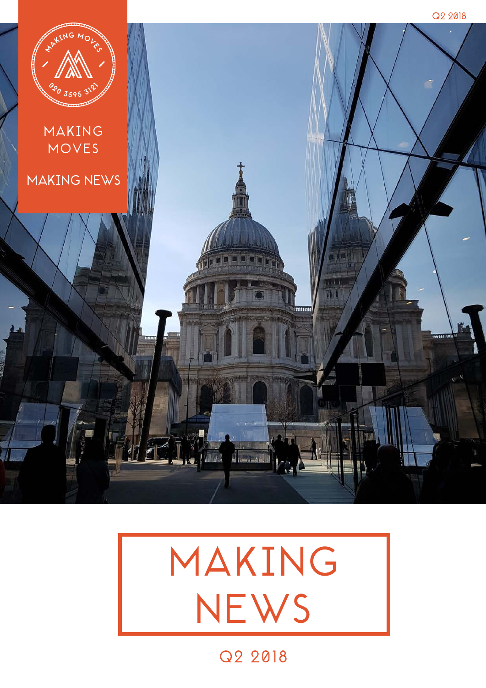



Q2 2018